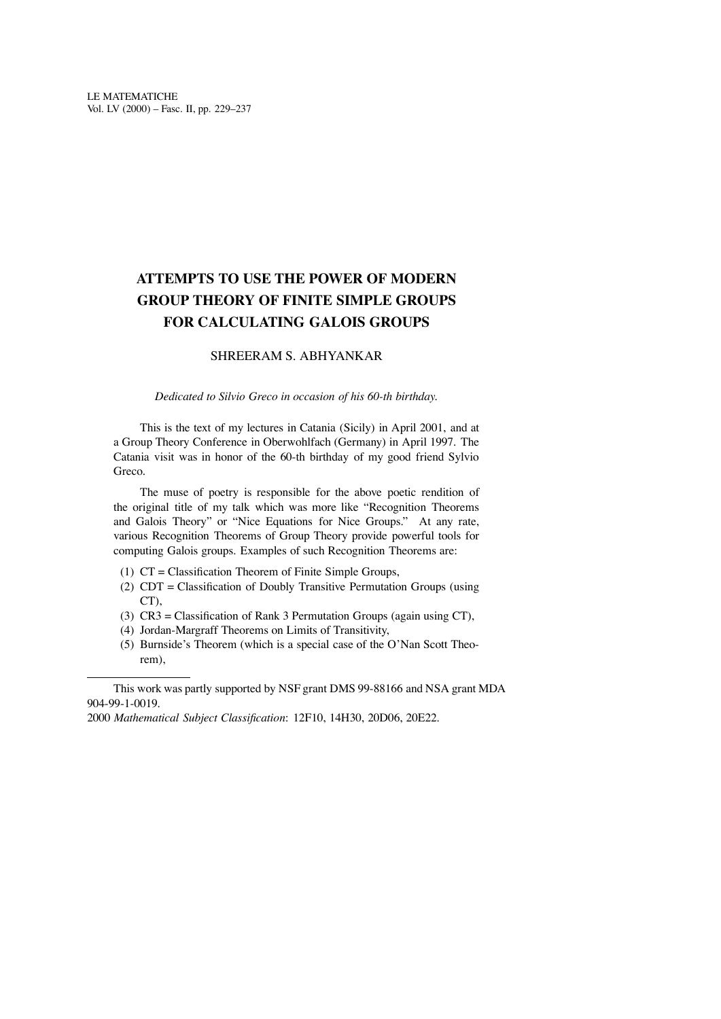## **ATTEMPTS TO USE THE POWER OF MODERN GROUP THEORY OF FINITE SIMPLE GROUPS FOR CALCULATING GALOIS GROUPS**

## SHREERAM S. ABHYANKAR

## *Dedicated to Silvio Greco in occasion of his 60-th birthday.*

This is the text of my lectures in Catania (Sicily) in April 2001, and at a Group Theory Conference in Oberwohlfach (Germany) in April 1997. The Catania visit was in honor of the 60-th birthday of my good friend Sylvio Greco.

The muse of poetry is responsible for the above poetic rendition of the original title of my talk which was more like "Recognition Theorems and Galois Theory" or "Nice Equations for Nice Groups." At any rate, various Recognition Theorems of Group Theory provide powerful tools for computing Galois groups. Examples of such Recognition Theorems are:

- (1)  $CT = Classification$  Theorem of Finite Simple Groups,
- (2)  $CDT = Classification of Doubly Transitive Permutation Groups (using)$ CT),
- (3)  $CR3 = Classification of Rank 3 Permutation Groups (again using CT),$
- (4) Jordan-Margraff Theorems on Limits of Transitivity,
- $(5)$  Burnside's Theorem (which is a special case of the O'Nan Scott Theorem),

2000 *Mathematical Subject Classi�cation*: 12F10, 14H30, 20D06, 20E22.

This work was partly supported by NSF grant DMS 99-88166 and NSA grant MDA 904-99-1-0019.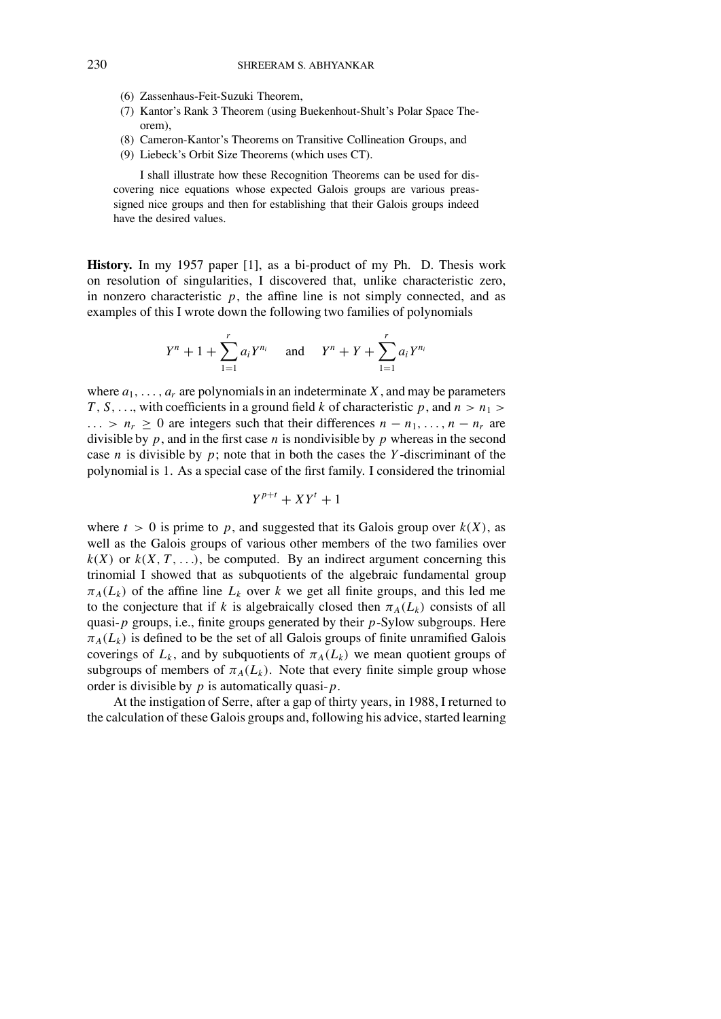- (6) Zassenhaus-Feit-Suzuki Theorem,
- (7) Kantor's Rank 3 Theorem (using Buekenhout-Shult's Polar Space Theorem),
- (8) Cameron-Kantor's Theorems on Transitive Collineation Groups, and
- (9) Liebeck's Orbit Size Theorems (which uses CT).

I shall illustrate how these Recognition Theorems can be used for discovering nice equations whose expected Galois groups are various preassigned nice groups and then for establishing that their Galois groups indeed have the desired values.

**History.** In my 1957 paper [1], as a bi-product of my Ph. D. Thesis work on resolution of singularities, I discovered that, unlike characteristic zero, in nonzero characteristic  $p$ , the affine line is not simply connected, and as examples of this I wrote down the following two families of polynomials

$$
Y^{n} + 1 + \sum_{1=1}^{r} a_{i} Y^{n_{i}} \quad \text{and} \quad Y^{n} + Y + \sum_{1=1}^{r} a_{i} Y^{n_{i}}
$$

where  $a_1, \ldots, a_r$  are polynomials in an indeterminate X, and may be parameters *T*, *S*, ..., with coefficients in a ground field *k* of characteristic *p*, and  $n > n_1$  $\ldots$  >  $n_r \geq 0$  are integers such that their differences  $n - n_1, \ldots, n - n_r$  are divisible by  $p$ , and in the first case  $n$  is nondivisible by  $p$  whereas in the second case *n* is divisible by *p*; note that in both the cases the *Y* -discriminant of the polynomial is 1. As a special case of the first family. I considered the trinomial

$$
Y^{p+t} + XY^t + 1
$$

where  $t > 0$  is prime to p, and suggested that its Galois group over  $k(X)$ , as well as the Galois groups of various other members of the two families over  $k(X)$  or  $k(X, T, \ldots)$ , be computed. By an indirect argument concerning this trinomial I showed that as subquotients of the algebraic fundamental group  $\pi_A(L_k)$  of the affine line  $L_k$  over k we get all finite groups, and this led me to the conjecture that if *k* is algebraically closed then  $\pi_A(L_k)$  consists of all quasi-*p* groups, i.e., finite groups generated by their *p*-Sylow subgroups. Here  $\pi_A(L_k)$  is defined to be the set of all Galois groups of finite unramified Galois coverings of  $L_k$ , and by subquotients of  $\pi_A(L_k)$  we mean quotient groups of subgroups of members of  $\pi_A(L_k)$ . Note that every finite simple group whose order is divisible by *p* is automatically quasi- *p*.

At the instigation of Serre, after a gap of thirty years, in 1988, I returned to the calculation of these Galois groups and, following his advice, started learning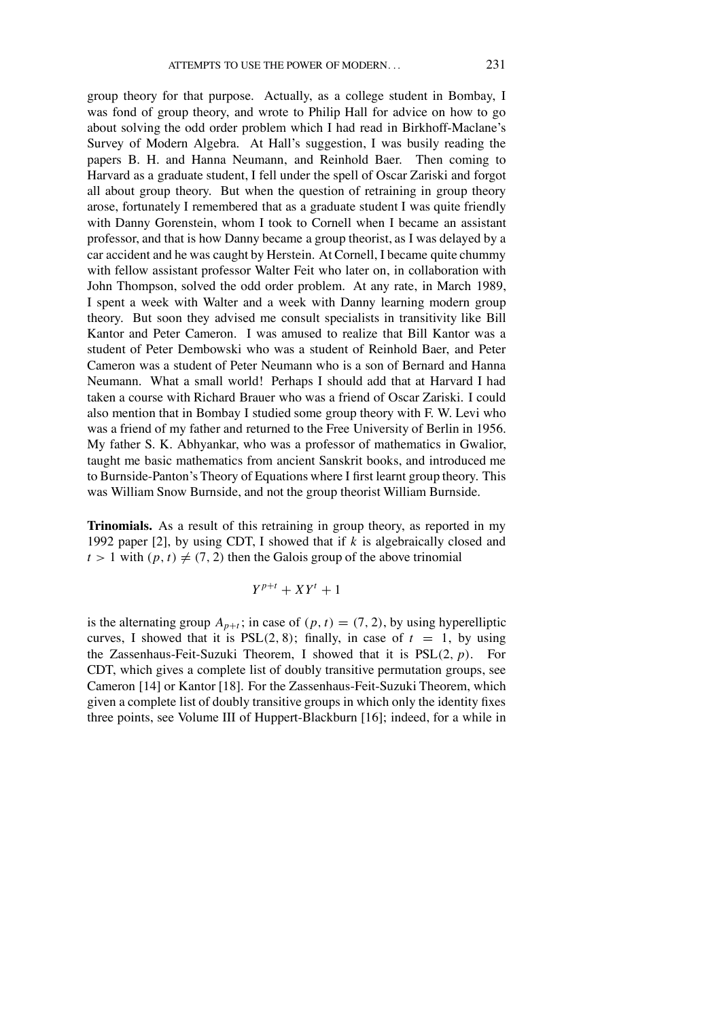group theory for that purpose. Actually, as a college student in Bombay, I was fond of group theory, and wrote to Philip Hall for advice on how to go about solving the odd order problem which I had read in Birkhoff-Maclane's Survey of Modern Algebra. At Hall's suggestion, I was busily reading the papers B. H. and Hanna Neumann, and Reinhold Baer. Then coming to Harvard as a graduate student, I fell under the spell of Oscar Zariski and forgot all about group theory. But when the question of retraining in group theory arose, fortunately I remembered that as a graduate student I was quite friendly with Danny Gorenstein, whom I took to Cornell when I became an assistant professor, and that is how Danny became a group theorist, as I was delayed by a car accident and he was caught by Herstein. At Cornell, I became quite chummy with fellow assistant professor Walter Feit who later on, in collaboration with John Thompson, solved the odd order problem. At any rate, in March 1989, I spent a week with Walter and a week with Danny learning modern group theory. But soon they advised me consult specialists in transitivity like Bill Kantor and Peter Cameron. I was amused to realize that Bill Kantor was a student of Peter Dembowski who was a student of Reinhold Baer, and Peter Cameron was a student of Peter Neumann who is a son of Bernard and Hanna Neumann. What a small world! Perhaps I should add that at Harvard I had taken a course with Richard Brauer who was a friend of Oscar Zariski. I could also mention that in Bombay I studied some group theory with F. W. Levi who was a friend of my father and returned to the Free University of Berlin in 1956. My father S. K. Abhyankar, who was a professor of mathematics in Gwalior, taught me basic mathematics from ancient Sanskrit books, and introduced me to Burnside-Panton's Theory of Equations where I first learnt group theory. This was William Snow Burnside, and not the group theorist William Burnside.

**Trinomials.** As a result of this retraining in group theory, as reported in my 1992 paper [2], by using CDT, I showed that if *k* is algebraically closed and  $t > 1$  with  $(p, t) \neq (7, 2)$  then the Galois group of the above trinomial

$$
Y^{p+t} + XY^t + 1
$$

is the alternating group  $A_{p+t}$ ; in case of  $(p, t) = (7, 2)$ , by using hyperelliptic curves, I showed that it is  $PSL(2, 8)$ ; finally, in case of  $t = 1$ , by using the Zassenhaus-Feit-Suzuki Theorem, I showed that it is PSL(2, *p*). For CDT, which gives a complete list of doubly transitive permutation groups, see Cameron [14] or Kantor [18]. For the Zassenhaus-Feit-Suzuki Theorem, which given a complete list of doubly transitive groups in which only the identity fixes three points, see Volume III of Huppert-Blackburn [16]; indeed, for a while in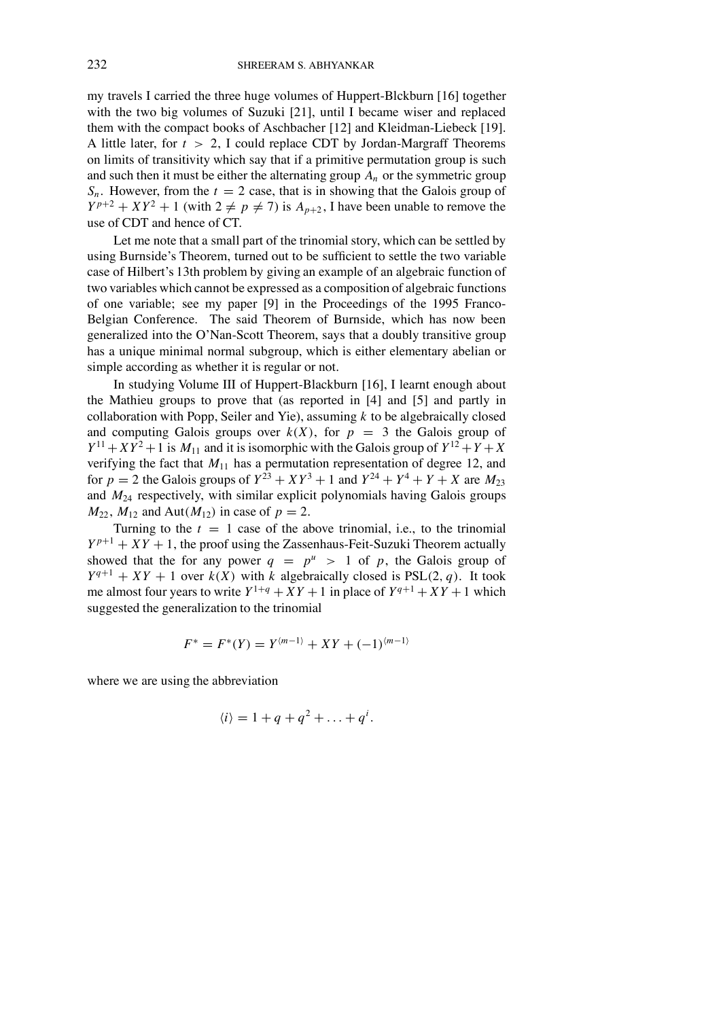my travels I carried the three huge volumes of Huppert-Blckburn [16] together with the two big volumes of Suzuki [21], until I became wiser and replaced them with the compact books of Aschbacher [12] and Kleidman-Liebeck [19]. A little later, for *t* > 2, I could replace CDT by Jordan-Margraff Theorems on limits of transitivity which say that if a primitive permutation group is such and such then it must be either the alternating group  $A_n$  or the symmetric group  $S_n$ . However, from the  $t = 2$  case, that is in showing that the Galois group of  $Y^{p+2} + XY^2 + 1$  (with  $2 \neq p \neq 7$ ) is  $A_{p+2}$ , I have been unable to remove the use of CDT and hence of CT.

Let me note that a small part of the trinomial story, which can be settled by using Burnside's Theorem, turned out to be sufficient to settle the two variable case of Hilbert's 13th problem by giving an example of an algebraic function of two variables which cannot be expressed as a composition of algebraic functions of one variable; see my paper [9] in the Proceedings of the 1995 Franco-Belgian Conference. The said Theorem of Burnside, which has now been generalized into the O'Nan-Scott Theorem, says that a doubly transitive group has a unique minimal normal subgroup, which is either elementary abelian or simple according as whether it is regular or not.

In studying Volume III of Huppert-Blackburn [16], I learnt enough about the Mathieu groups to prove that (as reported in [4] and [5] and partly in collaboration with Popp, Seiler and Yie), assuming *k* to be algebraically closed and computing Galois groups over  $k(X)$ , for  $p = 3$  the Galois group of  $Y^{11} + XY^2 + 1$  is  $M_{11}$  and it is isomorphic with the Galois group of  $Y^{12} + Y + X$ verifying the fact that  $M_{11}$  has a permutation representation of degree 12, and for  $p = 2$  the Galois groups of  $Y^{23} + XY^3 + 1$  and  $Y^{24} + Y^4 + Y + X$  are  $M_{23}$ and *M*<sup>24</sup> respectively, with similar explicit polynomials having Galois groups  $M_{22}$ ,  $M_{12}$  and  $Aut(M_{12})$  in case of  $p = 2$ .

Turning to the  $t = 1$  case of the above trinomial, i.e., to the trinomial  $Y^{p+1} + XY + 1$ , the proof using the Zassenhaus-Feit-Suzuki Theorem actually showed that the for any power  $q = p^u > 1$  of p, the Galois group of  $Y^{q+1} + XY + 1$  over  $k(X)$  with *k* algebraically closed is PSL(2, *q*). It took me almost four years to write  $Y^{1+q} + XY + 1$  in place of  $Y^{q+1} + XY + 1$  which suggested the generalization to the trinomial

$$
F^* = F^*(Y) = Y^{(m-1)} + XY + (-1)^{(m-1)}
$$

where we are using the abbreviation

$$
\langle i \rangle = 1 + q + q^2 + \ldots + q^i.
$$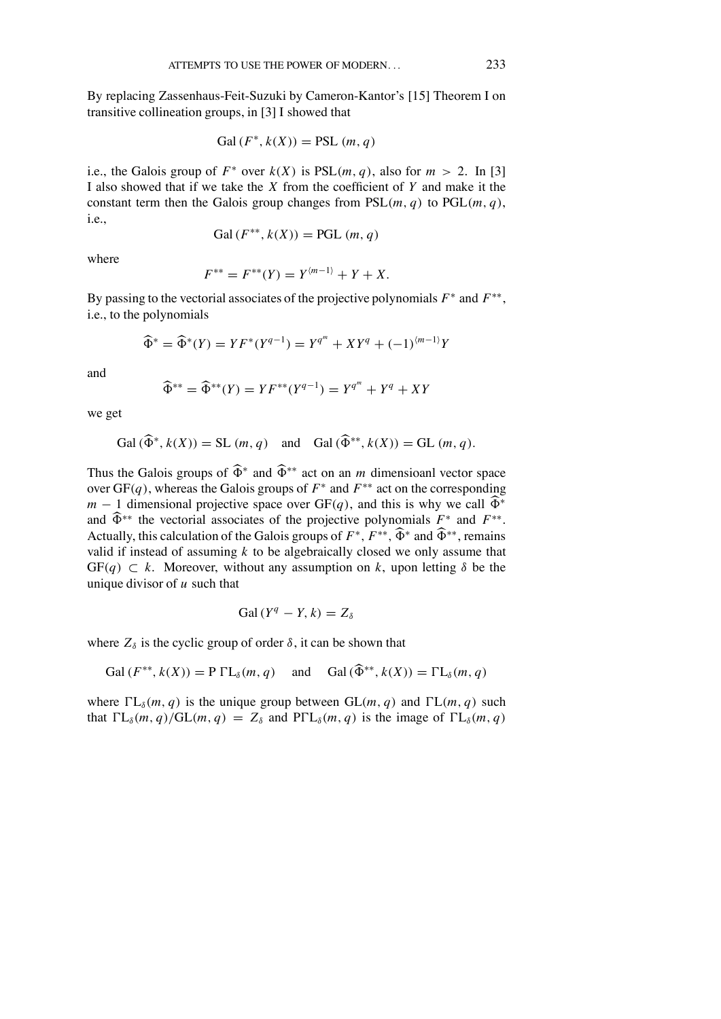By replacing Zassenhaus-Feit-Suzuki by Cameron-Kantor's [15] Theorem I on transitive collineation groups, in [3] I showed that

Gal (
$$
F^*
$$
,  $k(X)$ ) = PSL (*m*, *q*)

i.e., the Galois group of  $F^*$  over  $k(X)$  is  $PSL(m, q)$ , also for  $m > 2$ . In [3] I also showed that if we take the *X* from the coef�cient of *Y* and make it the constant term then the Galois group changes from  $PSL(m, q)$  to  $PGL(m, q)$ , i.e.,

$$
Gal(F^{**}, k(X)) = PGL(m, q)
$$

where

$$
F^{**} = F^{**}(Y) = Y^{(m-1)} + Y + X.
$$

By passing to the vectorial associates of the projective polynomials  $F^*$  and  $F^{**}$ , i.e., to the polynomials

$$
\widehat{\Phi}^* = \widehat{\Phi}^*(Y) = YF^*(Y^{q-1}) = Y^{q^m} + XY^q + (-1)^{\langle m-1 \rangle}Y
$$

and

$$
\widehat{\Phi}^{**} = \widehat{\Phi}^{**}(Y) = YF^{**}(Y^{q-1}) = Y^{q^m} + Y^q + XY
$$

we get

$$
\text{Gal}(\widehat{\Phi}^*, k(X)) = \text{SL}(m, q) \quad \text{and} \quad \text{Gal}(\widehat{\Phi}^{**}, k(X)) = \text{GL}(m, q).
$$

Thus the Galois groups of  $\widehat{\Phi}^*$  and  $\widehat{\Phi}^{**}$  act on an *m* dimensioanl vector space over GF(*q*), whereas the Galois groups of *F*<sup>∗</sup> and *F*∗∗ act on the corresponding *m* − 1 dimensional projective space over GF(*q*), and this is why we call  $\widehat{\Phi}^*$ and  $\widehat{\Phi}^{**}$  the vectorial associates of the projective polynomials  $F^*$  and  $F^{**}$ . Actually, this calculation of the Galois groups of  $F^*$ ,  $F^{**}$ ,  $\widehat{\Phi}^*$  and  $\widehat{\Phi}^{**}$ , remains valid if instead of assuming *k* to be algebraically closed we only assume that  $GF(q) \subset k$ . Moreover, without any assumption on k, upon letting  $\delta$  be the unique divisor of *u* such that

$$
Gal(Y^q - Y, k) = Z_{\delta}
$$

where  $Z_{\delta}$  is the cyclic group of order  $\delta$ , it can be shown that

$$
\text{Gal}(F^{**}, k(X)) = \text{P} \Gamma L_{\delta}(m, q) \quad \text{and} \quad \text{Gal}(\widehat{\Phi}^{**}, k(X)) = \Gamma L_{\delta}(m, q)
$$

where  $\Gamma L_{\delta}(m, q)$  is the unique group between  $GL(m, q)$  and  $\Gamma L(m, q)$  such that  $\Gamma L_{\delta}(m, q)/GL(m, q) = Z_{\delta}$  and  $\text{P}\Gamma L_{\delta}(m, q)$  is the image of  $\Gamma L_{\delta}(m, q)$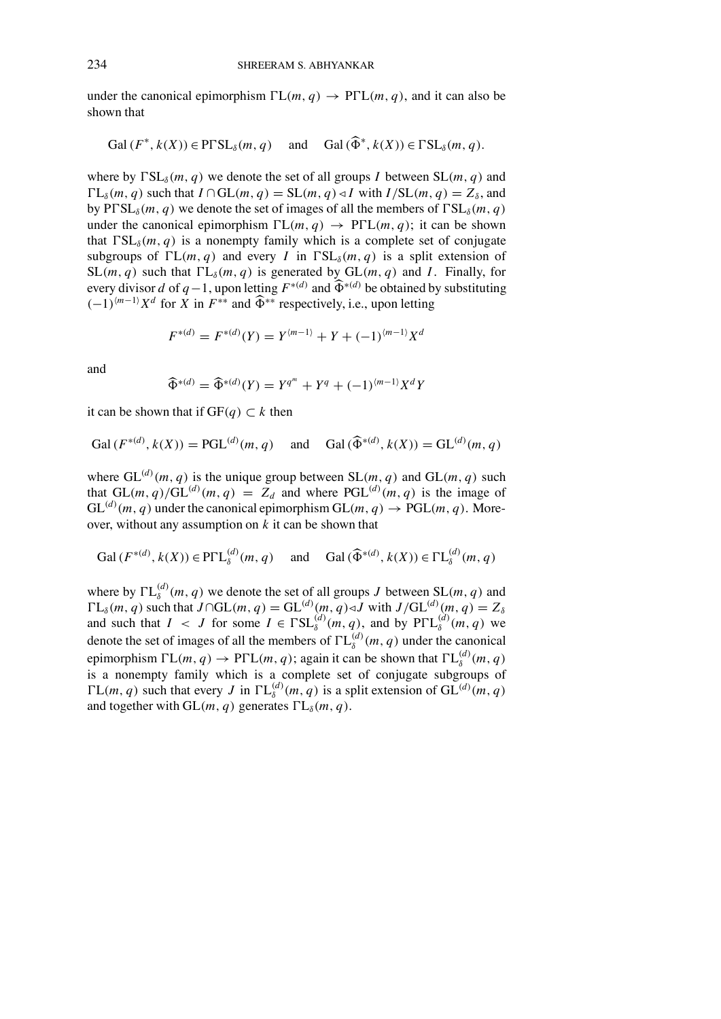under the canonical epimorphism  $\Gamma L(m, q) \rightarrow \text{P}\Gamma L(m, q)$ , and it can also be shown that

$$
\text{Gal}(F^*, k(X)) \in \text{P}\Gamma\text{SL}_{\delta}(m, q) \quad \text{and} \quad \text{Gal}(\widehat{\Phi}^*, k(X)) \in \Gamma\text{SL}_{\delta}(m, q).
$$

where by  $\Gamma SL_{\delta}(m, q)$  we denote the set of all groups *I* between  $SL(m, q)$  and  $\Gamma L_{\delta}(m, q)$  such that  $I \cap GL(m, q) = SL(m, q) \triangleleft I$  with  $I/SL(m, q) = Z_{\delta}$ , and by  $P\Gamma SL_{\delta}(m, q)$  we denote the set of images of all the members of  $\Gamma SL_{\delta}(m, q)$ under the canonical epimorphism  $\Gamma L(m, q) \rightarrow \text{P}\Gamma L(m, q)$ ; it can be shown that  $\Gamma SL_{\delta}(m, q)$  is a nonempty family which is a complete set of conjugate subgroups of  $\Gamma L(m, q)$  and every *I* in  $\Gamma SL_{\delta}(m, q)$  is a split extension of  $SL(m, q)$  such that  $\Gamma L_{\delta}(m, q)$  is generated by  $GL(m, q)$  and *I*. Finally, for every divisor *d* of  $q-1$ , upon letting  $F^{*(d)}$  and  $\widehat{\Phi}^{*(d)}$  be obtained by substituting  $(-1)^{(m-1)}X^d$  for *X* in  $F^{**}$  and  $\widehat{\Phi}^{**}$  respectively, i.e., upon letting

$$
F^{*(d)} = F^{*(d)}(Y) = Y^{(m-1)} + Y + (-1)^{(m-1)} X^d
$$

and

$$
\widehat{\Phi}^{*(d)} = \widehat{\Phi}^{*(d)}(Y) = Y^{q^m} + Y^q + (-1)^{\langle m-1 \rangle} X^d Y
$$

it can be shown that if  $GF(q) \subset k$  then

$$
Gal(F^{*(d)}, k(X)) = PGL^{(d)}(m, q) \quad \text{and} \quad Gal(\widehat{\Phi}^{*(d)}, k(X)) = GL^{(d)}(m, q)
$$

where  $GL^{(d)}(m, q)$  is the unique group between  $SL(m, q)$  and  $GL(m, q)$  such that  $GL(m, q)/GL^{(d)}(m, q) = Z_d$  and where  $PGL^{(d)}(m, q)$  is the image of  $GL^{(d)}(m, q)$  under the canonical epimorphism  $GL(m, q) \rightarrow PGL(m, q)$ . Moreover, without any assumption on *k* it can be shown that

$$
\text{Gal}(F^{*(d)}, k(X)) \in \text{P}\Gamma\text{L}_{\delta}^{(d)}(m, q) \quad \text{ and } \quad \text{Gal}(\widehat{\Phi}^{*(d)}, k(X)) \in \Gamma\text{L}_{\delta}^{(d)}(m, q)
$$

where by  $\Gamma L_{\delta}^{(d)}(m, q)$  we denote the set of all groups *J* between  $SL(m, q)$  and  $\Gamma L_{\delta}(m, q)$  such that  $J \cap GL(m, q) = GL^{(d)}(m, q) \triangleleft J$  with  $J/GL^{(d)}(m, q) = Z_{\delta}$ and such that  $I \leq J$  for some  $I \in \Gamma SL_{\delta}^{(d)}(m, q)$ , and by  $P\Gamma L_{\delta}^{(d)}(m, q)$  we denote the set of images of all the members of  $\Gamma L_{\delta}^{(d)}(m, q)$  under the canonical epimorphism  $\Gamma L(m, q) \to \text{P}\Gamma L(m, q)$ ; again it can be shown that  $\Gamma L_{\delta}^{(d)}(m, q)$ is a nonempty family which is a complete set of conjugate subgroups of  $\Gamma L(m, q)$  such that every *J* in  $\Gamma L_{\delta}^{(d)}(m, q)$  is a split extension of GL<sup>(d)</sup>(m, q) and together with  $GL(m, q)$  generates  $\Gamma L_{\delta}(m, q)$ .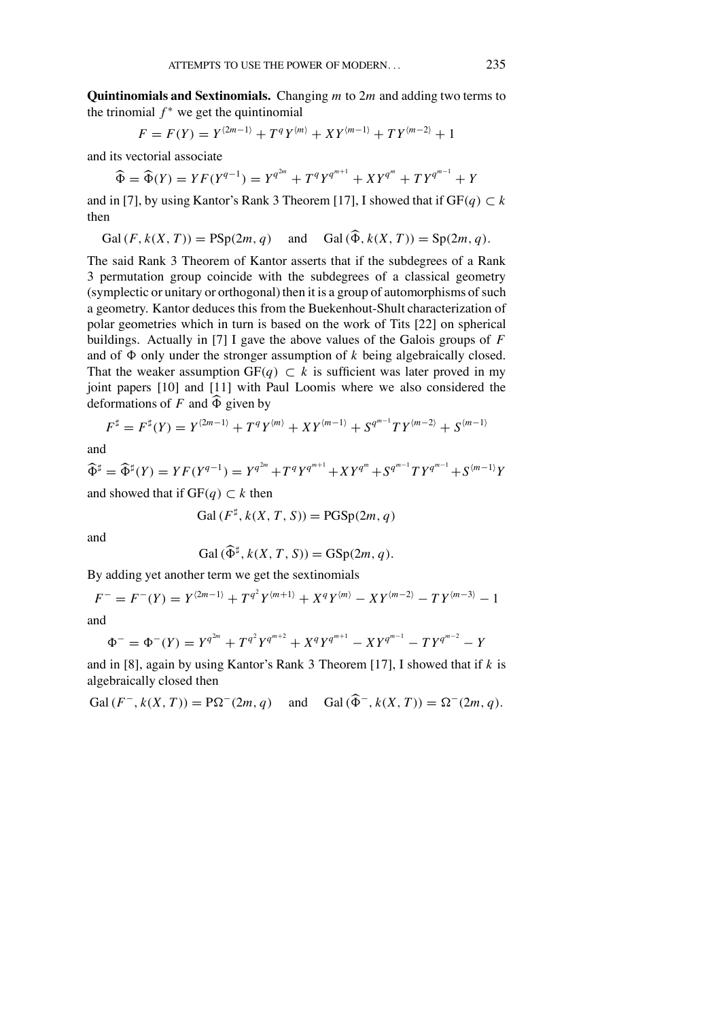**Quintinomials and Sextinomials.** Changing *m* to 2*m* and adding two terms to the trinomial  $f^*$  we get the quintinomial

$$
F = F(Y) = Y^{(2m-1)} + T^{q} Y^{(m)} + XY^{(m-1)} + T Y^{(m-2)} + 1
$$

and its vectorial associate

$$
\widehat{\Phi} = \widehat{\Phi}(Y) = YF(Y^{q-1}) = Y^{q^{2m}} + T^q Y^{q^{m+1}} + XY^{q^m} + TY^{q^{m-1}} + Y
$$

and in [7], by using Kantor's Rank 3 Theorem [17], I showed that if  $GF(q) \subset k$ then

$$
Gal(F, k(X, T)) = PSp(2m, q) \quad \text{and} \quad Gal(\widehat{\Phi}, k(X, T)) = Sp(2m, q).
$$

The said Rank 3 Theorem of Kantor asserts that if the subdegrees of a Rank 3 permutation group coincide with the subdegrees of a classical geometry (symplectic or unitary or orthogonal) then it is a group of automorphisms of such a geometry. Kantor deduces this from the Buekenhout-Shult characterization of polar geometries which in turn is based on the work of Tits [22] on spherical buildings. Actually in [7] I gave the above values of the Galois groups of *F* and of  $\Phi$  only under the stronger assumption of  $k$  being algebraically closed. That the weaker assumption  $GF(q) \subset k$  is sufficient was later proved in my joint papers [10] and [11] with Paul Loomis where we also considered the deformations of  $F$  and  $\widehat{\Phi}$  given by

$$
F^{\sharp} = F^{\sharp}(Y) = Y^{(2m-1)} + T^{q}Y^{(m)} + XY^{(m-1)} + S^{q^{m-1}}TY^{(m-2)} + S^{(m-1)}
$$

and

$$
\widehat{\Phi}^{\sharp} = \widehat{\Phi}^{\sharp}(Y) = YF(Y^{q-1}) = Y^{q^{2m}} + T^q Y^{q^{m+1}} + XY^{q^m} + S^{q^{m-1}} T Y^{q^{m-1}} + S^{(m-1)} Y
$$

and showed that if  $GF(q) \subset k$  then

$$
Gal(F^{\sharp}, k(X, T, S)) = PGSp(2m, q)
$$

and

$$
Gal\left(\widehat{\Phi}^{\sharp}, k(X, T, S)\right) = GSp(2m, q).
$$

By adding yet another term we get the sextinomials

$$
F^{-} = F^{-}(Y) = Y^{(2m-1)} + T^{q^{2}}Y^{(m+1)} + X^{q}Y^{(m)} - XY^{(m-2)} - TY^{(m-3)} - 1
$$

and

$$
\Phi^- = \Phi^-(Y) = Y^{q^{2m}} + T^{q^2}Y^{q^{m+2}} + X^qY^{q^{m+1}} - XY^{q^{m-1}} - TY^{q^{m-2}} - Y
$$

and in [8], again by using Kantor's Rank 3 Theorem [17], I showed that if  $k$  is algebraically closed then

$$
\operatorname{Gal}\left(F^-, k(X, T)\right) = \operatorname{P}\Omega^-(2m, q) \quad \text{and} \quad \operatorname{Gal}\left(\widehat{\Phi}^-, k(X, T)\right) = \Omega^-(2m, q).
$$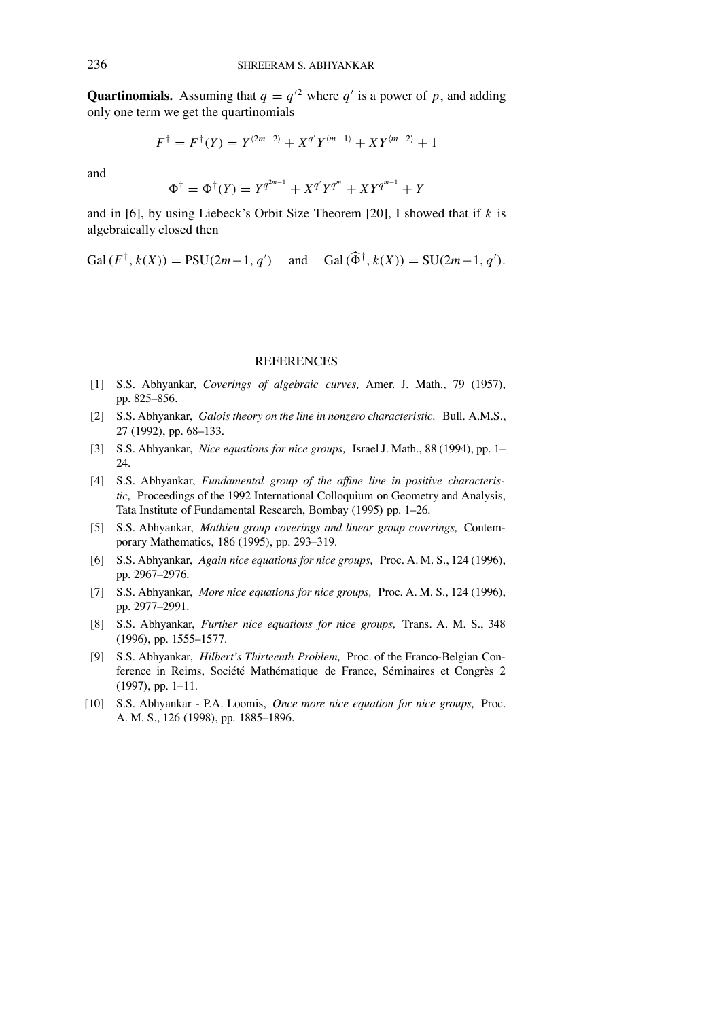**Quartinomials.** Assuming that  $q = q^2$  where  $q'$  is a power of p, and adding only one term we get the quartinomials

$$
F^{\dagger} = F^{\dagger}(Y) = Y^{\langle 2m-2 \rangle} + X^{q'} Y^{\langle m-1 \rangle} + XY^{\langle m-2 \rangle} + 1
$$

and

$$
\Phi^{\dagger} = \Phi^{\dagger}(Y) = Y^{q^{2m-1}} + X^{q'}Y^{q^m} + XY^{q^{m-1}} + Y
$$

and in [6], by using Liebeck's Orbit Size Theorem [20], I showed that if  $k$  is algebraically closed then

Gal( $F^{\dagger}$ ,  $k(X)$ ) = PSU(2*m* - 1, *q'*) and Gal( $\widehat{\Phi}^{\dagger}$ ,  $k(X)$ ) = SU(2*m* - 1, *q'*).

## **REFERENCES**

- [1] S.S. Abhyankar, *Coverings of algebraic curves,* Amer. J. Math., 79 (1957), pp. 825-856.
- [2] S.S. Abhyankar, *Galois theory on the line in nonzero characteristic,* Bull. A.M.S., 27 (1992), pp. 68-133.
- [3] S.S. Abhyankar, *Nice equations for nice groups,* IsraelJ. Math., 88 (1994), pp. 1 24.
- [4] S.S. Abhyankar, *Fundamental group of the af�ne line in positive characteristic,* Proceedings of the 1992 International Colloquium on Geometry and Analysis, Tata Institute of Fundamental Research, Bombay (1995) pp. 1-26.
- [5] S.S. Abhyankar, *Mathieu group coverings and linear group coverings,* Contemporary Mathematics, 186 (1995), pp. 293-319.
- [6] S.S. Abhyankar, *Again nice equations for nice groups,* Proc. A. M. S., 124 (1996), pp. 2967-2976.
- [7] S.S. Abhyankar, *More nice equations for nice groups,* Proc. A. M. S., 124 (1996), pp. 2977-2991.
- [8] S.S. Abhyankar, *Further nice equations for nice groups,* Trans. A. M. S., 348 (1996), pp. 1555-1577.
- [9] S.S. Abhyankar, *Hilbert's Thirteenth Problem*, Proc. of the Franco-Belgian Conference in Reims, Société Mathématique de France, Séminaires et Congrès 2  $(1997)$ , pp. 1-11.
- [10] S.S. Abhyankar P.A. Loomis, *Once more nice equation for nice groups,* Proc. A. M. S., 126 (1998), pp. 1885-1896.